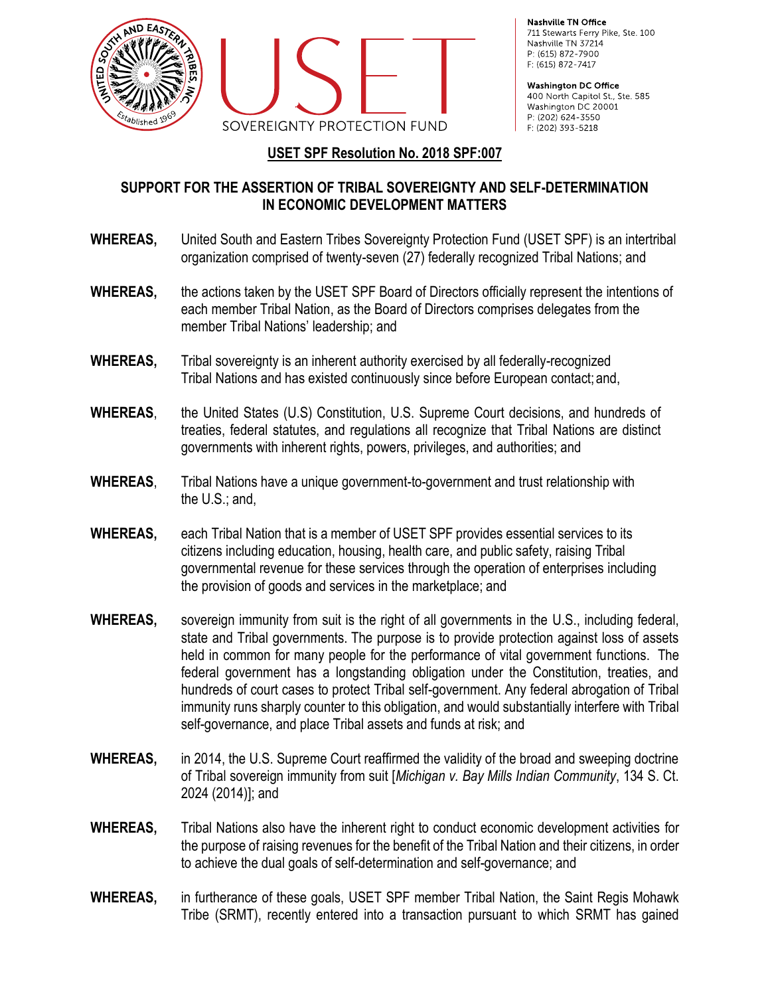



Nashville TN Office 711 Stewarts Ferry Pike, Ste. 100 Nashville TN 37214 P: (615) 872-7900 F: (615) 872-7417

**Washington DC Office** 400 North Capitol St., Ste. 585 Washington DC 20001 P: (202) 624-3550 F: (202) 393-5218

## **USET SPF Resolution No. 2018 SPF:007**

## **SUPPORT FOR THE ASSERTION OF TRIBAL SOVEREIGNTY AND SELF-DETERMINATION IN ECONOMIC DEVELOPMENT MATTERS**

- **WHEREAS,** United South and Eastern Tribes Sovereignty Protection Fund (USET SPF) is an intertribal organization comprised of twenty-seven (27) federally recognized Tribal Nations; and
- **WHEREAS,** the actions taken by the USET SPF Board of Directors officially represent the intentions of each member Tribal Nation, as the Board of Directors comprises delegates from the member Tribal Nations' leadership; and
- **WHEREAS,** Tribal sovereignty is an inherent authority exercised by all federally-recognized Tribal Nations and has existed continuously since before European contact; and,
- **WHEREAS**, the United States (U.S) Constitution, U.S. Supreme Court decisions, and hundreds of treaties, federal statutes, and regulations all recognize that Tribal Nations are distinct governments with inherent rights, powers, privileges, and authorities; and
- **WHEREAS**, Tribal Nations have a unique government-to-government and trust relationship with the U.S.; and,
- **WHEREAS,** each Tribal Nation that is a member of USET SPF provides essential services to its citizens including education, housing, health care, and public safety, raising Tribal governmental revenue for these services through the operation of enterprises including the provision of goods and services in the marketplace; and
- **WHEREAS,** sovereign immunity from suit is the right of all governments in the U.S., including federal, state and Tribal governments. The purpose is to provide protection against loss of assets held in common for many people for the performance of vital government functions. The federal government has a longstanding obligation under the Constitution, treaties, and hundreds of court cases to protect Tribal self-government. Any federal abrogation of Tribal immunity runs sharply counter to this obligation, and would substantially interfere with Tribal self-governance, and place Tribal assets and funds at risk; and
- **WHEREAS,** in 2014, the U.S. Supreme Court reaffirmed the validity of the broad and sweeping doctrine of Tribal sovereign immunity from suit [*Michigan v. Bay Mills Indian Community*, 134 S. Ct. 2024 (2014)]; and
- **WHEREAS,** Tribal Nations also have the inherent right to conduct economic development activities for the purpose of raising revenues for the benefit of the Tribal Nation and their citizens, in order to achieve the dual goals of self-determination and self-governance; and
- **WHEREAS,** in furtherance of these goals, USET SPF member Tribal Nation, the Saint Regis Mohawk Tribe (SRMT), recently entered into a transaction pursuant to which SRMT has gained